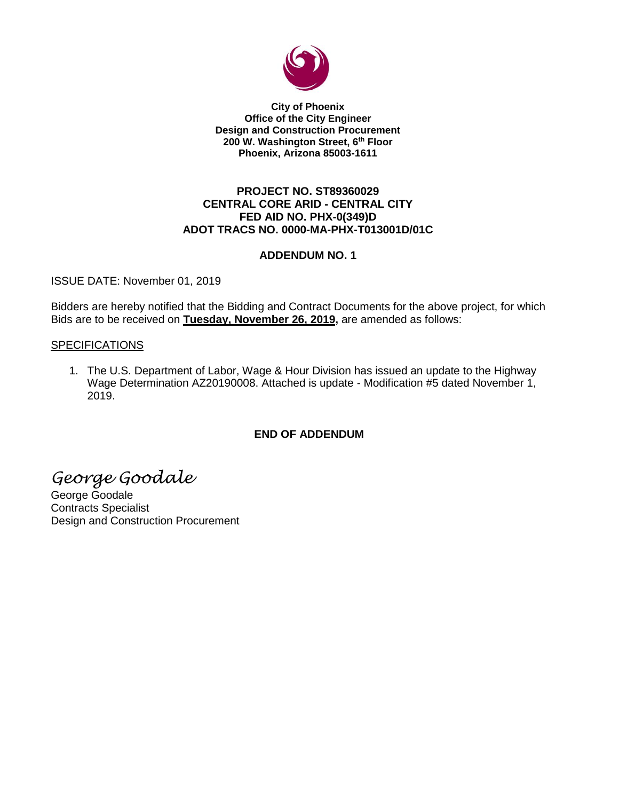

**City of Phoenix Office of the City Engineer Design and Construction Procurement 200 W. Washington Street, 6th Floor Phoenix, Arizona 85003-1611**

# **PROJECT NO. ST89360029 CENTRAL CORE ARID - CENTRAL CITY FED AID NO. PHX-0(349)D ADOT TRACS NO. 0000-MA-PHX-T013001D/01C**

# **ADDENDUM NO. 1**

ISSUE DATE: November 01, 2019

Bidders are hereby notified that the Bidding and Contract Documents for the above project, for which Bids are to be received on **Tuesday, November 26, 2019,** are amended as follows:

# **SPECIFICATIONS**

1. The U.S. Department of Labor, Wage & Hour Division has issued an update to the Highway Wage Determination AZ20190008. Attached is update - Modification #5 dated November 1, 2019.

# **END OF ADDENDUM**

*George Goodale*

George Goodale Contracts Specialist Design and Construction Procurement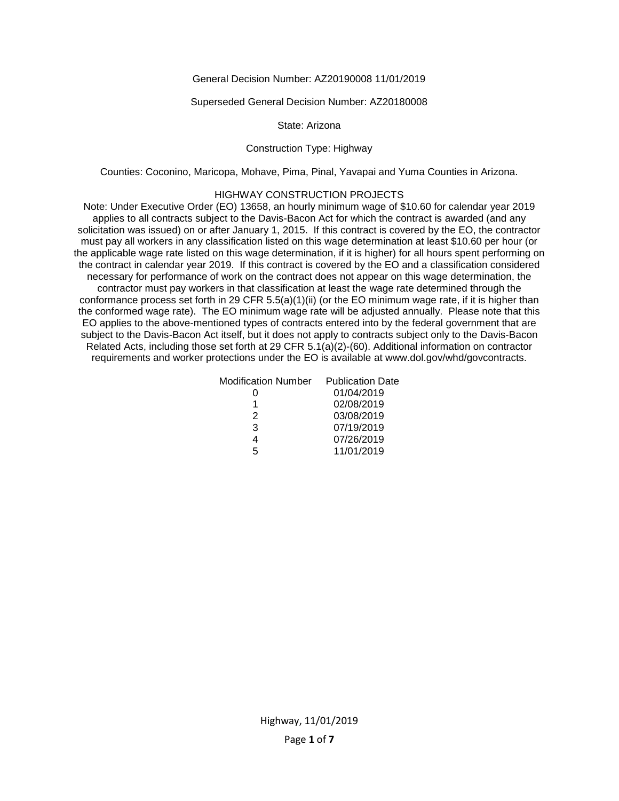## General Decision Number: AZ20190008 11/01/2019

### Superseded General Decision Number: AZ20180008

## State: Arizona

## Construction Type: Highway

Counties: Coconino, Maricopa, Mohave, Pima, Pinal, Yavapai and Yuma Counties in Arizona.

## HIGHWAY CONSTRUCTION PROJECTS

Note: Under Executive Order (EO) 13658, an hourly minimum wage of \$10.60 for calendar year 2019 applies to all contracts subject to the Davis-Bacon Act for which the contract is awarded (and any solicitation was issued) on or after January 1, 2015. If this contract is covered by the EO, the contractor must pay all workers in any classification listed on this wage determination at least \$10.60 per hour (or the applicable wage rate listed on this wage determination, if it is higher) for all hours spent performing on the contract in calendar year 2019. If this contract is covered by the EO and a classification considered necessary for performance of work on the contract does not appear on this wage determination, the contractor must pay workers in that classification at least the wage rate determined through the conformance process set forth in 29 CFR 5.5(a)(1)(ii) (or the EO minimum wage rate, if it is higher than the conformed wage rate). The EO minimum wage rate will be adjusted annually. Please note that this EO applies to the above-mentioned types of contracts entered into by the federal government that are subject to the Davis-Bacon Act itself, but it does not apply to contracts subject only to the Davis-Bacon Related Acts, including those set forth at 29 CFR 5.1(a)(2)-(60). Additional information on contractor requirements and worker protections under the EO is available at www.dol.gov/whd/govcontracts.

| Modification Number | <b>Publication Date</b> |
|---------------------|-------------------------|
|                     | 01/04/2019              |
|                     | 02/08/2019              |
| 2                   | 03/08/2019              |
| 3                   | 07/19/2019              |
|                     | 07/26/2019              |
| г,                  | 11/01/2019              |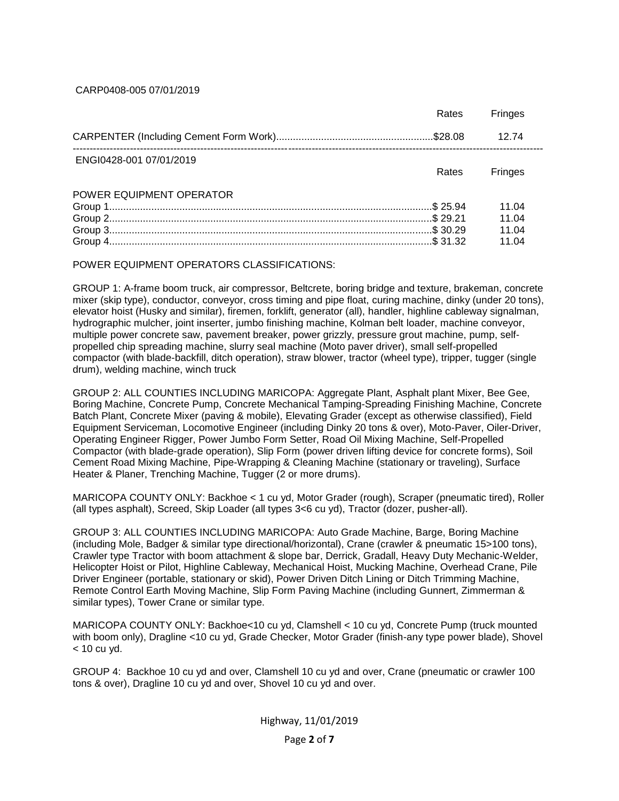CARP0408-005 07/01/2019

|                          | Rates | <b>Fringes</b> |
|--------------------------|-------|----------------|
|                          |       | 12.74          |
| ENGI0428-001 07/01/2019  | Rates | <b>Fringes</b> |
| POWER EQUIPMENT OPERATOR |       |                |
|                          |       | 11.04          |
|                          |       | 11.04          |
|                          |       | 11.04          |
|                          |       | 11 N4          |

POWER EQUIPMENT OPERATORS CLASSIFICATIONS:

GROUP 1: A-frame boom truck, air compressor, Beltcrete, boring bridge and texture, brakeman, concrete mixer (skip type), conductor, conveyor, cross timing and pipe float, curing machine, dinky (under 20 tons), elevator hoist (Husky and similar), firemen, forklift, generator (all), handler, highline cableway signalman, hydrographic mulcher, joint inserter, jumbo finishing machine, Kolman belt loader, machine conveyor, multiple power concrete saw, pavement breaker, power grizzly, pressure grout machine, pump, selfpropelled chip spreading machine, slurry seal machine (Moto paver driver), small self-propelled compactor (with blade-backfill, ditch operation), straw blower, tractor (wheel type), tripper, tugger (single drum), welding machine, winch truck

GROUP 2: ALL COUNTIES INCLUDING MARICOPA: Aggregate Plant, Asphalt plant Mixer, Bee Gee, Boring Machine, Concrete Pump, Concrete Mechanical Tamping-Spreading Finishing Machine, Concrete Batch Plant, Concrete Mixer (paving & mobile), Elevating Grader (except as otherwise classified), Field Equipment Serviceman, Locomotive Engineer (including Dinky 20 tons & over), Moto-Paver, Oiler-Driver, Operating Engineer Rigger, Power Jumbo Form Setter, Road Oil Mixing Machine, Self-Propelled Compactor (with blade-grade operation), Slip Form (power driven lifting device for concrete forms), Soil Cement Road Mixing Machine, Pipe-Wrapping & Cleaning Machine (stationary or traveling), Surface Heater & Planer, Trenching Machine, Tugger (2 or more drums).

MARICOPA COUNTY ONLY: Backhoe < 1 cu yd, Motor Grader (rough), Scraper (pneumatic tired), Roller (all types asphalt), Screed, Skip Loader (all types 3<6 cu yd), Tractor (dozer, pusher-all).

GROUP 3: ALL COUNTIES INCLUDING MARICOPA: Auto Grade Machine, Barge, Boring Machine (including Mole, Badger & similar type directional/horizontal), Crane (crawler & pneumatic 15>100 tons), Crawler type Tractor with boom attachment & slope bar, Derrick, Gradall, Heavy Duty Mechanic-Welder, Helicopter Hoist or Pilot, Highline Cableway, Mechanical Hoist, Mucking Machine, Overhead Crane, Pile Driver Engineer (portable, stationary or skid), Power Driven Ditch Lining or Ditch Trimming Machine, Remote Control Earth Moving Machine, Slip Form Paving Machine (including Gunnert, Zimmerman & similar types), Tower Crane or similar type.

MARICOPA COUNTY ONLY: Backhoe<10 cu yd, Clamshell < 10 cu yd, Concrete Pump (truck mounted with boom only), Dragline <10 cu yd, Grade Checker, Motor Grader (finish-any type power blade), Shovel  $<$  10 cu vd.

GROUP 4: Backhoe 10 cu yd and over, Clamshell 10 cu yd and over, Crane (pneumatic or crawler 100 tons & over), Dragline 10 cu yd and over, Shovel 10 cu yd and over.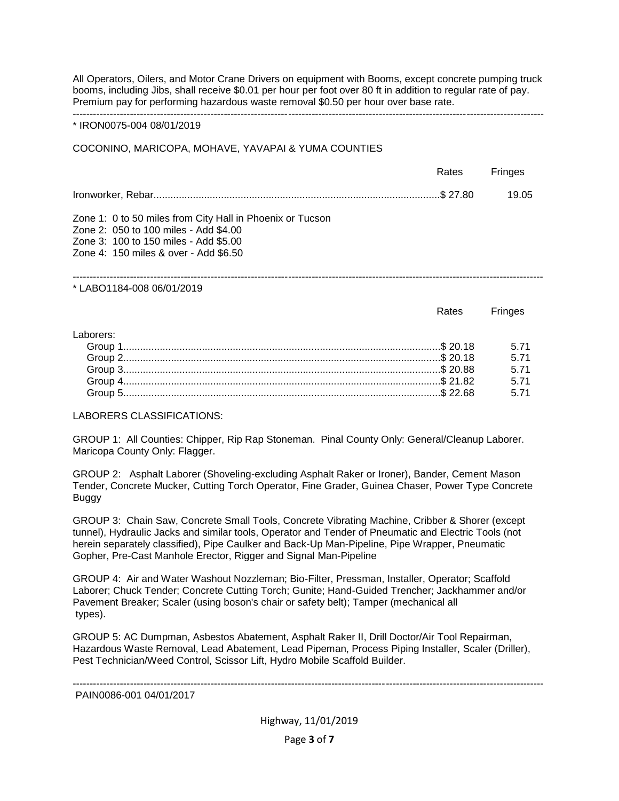All Operators, Oilers, and Motor Crane Drivers on equipment with Booms, except concrete pumping truck booms, including Jibs, shall receive \$0.01 per hour per foot over 80 ft in addition to regular rate of pay. Premium pay for performing hazardous waste removal \$0.50 per hour over base rate. --------------------------------------------------------------------------------------------------------------------------------------------

#### \* IRON0075-004 08/01/2019

### COCONINO, MARICOPA, MOHAVE, YAVAPAI & YUMA COUNTIES

|                                                                                                                                                                                      | Rates | <b>Fringes</b> |
|--------------------------------------------------------------------------------------------------------------------------------------------------------------------------------------|-------|----------------|
|                                                                                                                                                                                      |       | 19.05          |
| Zone 1: 0 to 50 miles from City Hall in Phoenix or Tucson<br>Zone 2: 050 to 100 miles - Add \$4.00<br>Zone 3: 100 to 150 miles - Add \$5.00<br>Zone 4: 150 miles & over - Add \$6.50 |       |                |

\* LABO1184-008 06/01/2019

|            | Rates |      |
|------------|-------|------|
| l aborers: |       |      |
|            |       | 5 71 |
|            |       | 571  |
|            |       | 5.71 |
|            |       | 5 71 |
|            |       |      |

LABORERS CLASSIFICATIONS:

GROUP 1: All Counties: Chipper, Rip Rap Stoneman. Pinal County Only: General/Cleanup Laborer. Maricopa County Only: Flagger.

GROUP 2: Asphalt Laborer (Shoveling-excluding Asphalt Raker or Ironer), Bander, Cement Mason Tender, Concrete Mucker, Cutting Torch Operator, Fine Grader, Guinea Chaser, Power Type Concrete Buggy

GROUP 3: Chain Saw, Concrete Small Tools, Concrete Vibrating Machine, Cribber & Shorer (except tunnel), Hydraulic Jacks and similar tools, Operator and Tender of Pneumatic and Electric Tools (not herein separately classified), Pipe Caulker and Back-Up Man-Pipeline, Pipe Wrapper, Pneumatic Gopher, Pre-Cast Manhole Erector, Rigger and Signal Man-Pipeline

GROUP 4: Air and Water Washout Nozzleman; Bio-Filter, Pressman, Installer, Operator; Scaffold Laborer; Chuck Tender; Concrete Cutting Torch; Gunite; Hand-Guided Trencher; Jackhammer and/or Pavement Breaker; Scaler (using boson's chair or safety belt); Tamper (mechanical all types).

GROUP 5: AC Dumpman, Asbestos Abatement, Asphalt Raker II, Drill Doctor/Air Tool Repairman, Hazardous Waste Removal, Lead Abatement, Lead Pipeman, Process Piping Installer, Scaler (Driller), Pest Technician/Weed Control, Scissor Lift, Hydro Mobile Scaffold Builder.

-------------------------------------------------------------------------------------------------------------------------------------------- PAIN0086-001 04/01/2017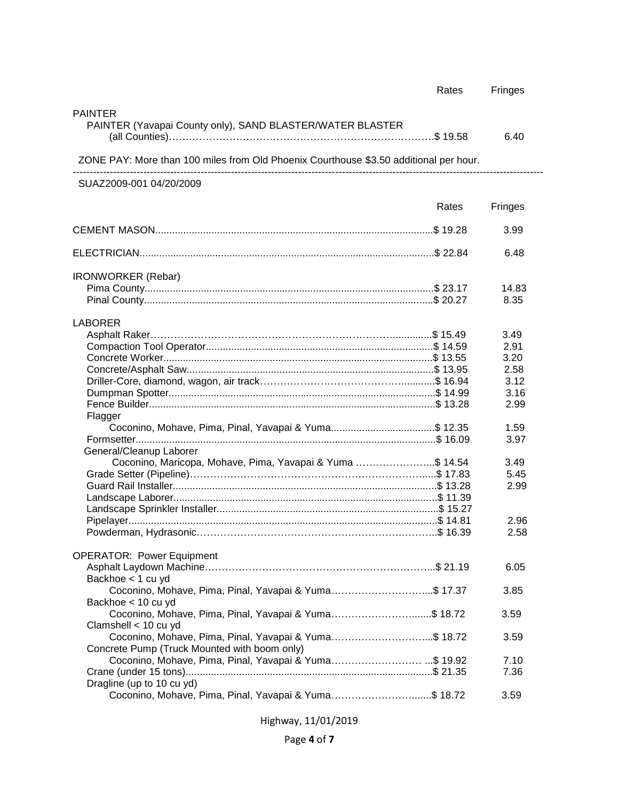|                                                                                       | Rates | Fringes |
|---------------------------------------------------------------------------------------|-------|---------|
| <b>PAINTER</b><br>PAINTER (Yavapai County only), SAND BLASTER/WATER BLASTER           |       | 6.40    |
| ZONE PAY: More than 100 miles from Old Phoenix Courthouse \$3.50 additional per hour. |       |         |
| SUAZ2009-001 04/20/2009                                                               |       |         |
|                                                                                       | Rates | Fringes |
|                                                                                       |       | 3.99    |
|                                                                                       |       | 6.48    |
| <b>IRONWORKER</b> (Rebar)                                                             |       |         |
|                                                                                       |       | 14.83   |
|                                                                                       |       | 8.35    |
|                                                                                       |       |         |
| <b>LABORER</b>                                                                        |       |         |
|                                                                                       |       | 3.49    |
|                                                                                       |       | 2.91    |
|                                                                                       |       | 3.20    |
|                                                                                       |       | 2.58    |
|                                                                                       |       | 3.12    |
|                                                                                       |       | 3.16    |
|                                                                                       |       | 2.99    |
| Flagger                                                                               |       |         |
| Coconino, Mohave, Pima, Pinal, Yavapai & Yuma\$ 12.35                                 |       | 1.59    |
|                                                                                       |       | 3.97    |
| General/Cleanup Laborer                                                               |       |         |
| Coconino, Maricopa, Mohave, Pima, Yavapai & Yuma \$ 14.54                             |       | 3.49    |
|                                                                                       |       | 5.45    |
|                                                                                       |       | 2.99    |
|                                                                                       |       |         |
|                                                                                       |       |         |
|                                                                                       |       | 2.96    |
|                                                                                       |       | 2.58    |
|                                                                                       |       |         |
| <b>OPERATOR: Power Equipment</b>                                                      |       |         |
|                                                                                       |       | 6.05    |
| Backhoe < 1 cu yd                                                                     |       |         |
| Coconino, Mohave, Pima, Pinal, Yavapai & Yuma\$ 17.37                                 |       | 3.85    |
| Backhoe < 10 cu yd                                                                    |       |         |
| Coconino, Mohave, Pima, Pinal, Yavapai & Yuma\$ 18.72                                 |       | 3.59    |
|                                                                                       |       |         |
| Clamshell < 10 cu yd                                                                  |       | 3.59    |
| Coconino, Mohave, Pima, Pinal, Yavapai & Yuma\$ 18.72                                 |       |         |
| Concrete Pump (Truck Mounted with boom only)                                          |       |         |
| Coconino, Mohave, Pima, Pinal, Yavapai & Yuma\$ 19.92                                 |       | 7.10    |
|                                                                                       |       | 7.36    |
| Dragline (up to 10 cu yd)                                                             |       |         |
| Coconino, Mohave, Pima, Pinal, Yavapai & Yuma\$ 18.72                                 |       | 3.59    |

Highway, 11/01/2019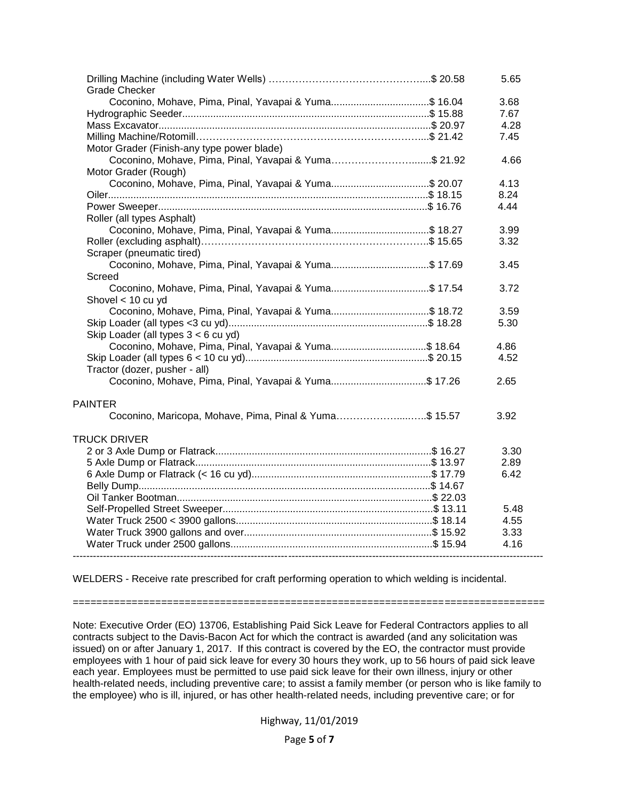| <b>Grade Checker</b>                                   | 5.65 |
|--------------------------------------------------------|------|
| Coconino, Mohave, Pima, Pinal, Yavapai & Yuma\$ 16.04  | 3.68 |
|                                                        | 7.67 |
|                                                        | 4.28 |
|                                                        | 7.45 |
| Motor Grader (Finish-any type power blade)             |      |
| Coconino, Mohave, Pima, Pinal, Yavapai & Yuma\$ 21.92  | 4.66 |
| Motor Grader (Rough)                                   |      |
| Coconino, Mohave, Pima, Pinal, Yavapai & Yuma\$ 20.07  | 4.13 |
|                                                        | 8.24 |
|                                                        | 4.44 |
| Roller (all types Asphalt)                             |      |
| Coconino, Mohave, Pima, Pinal, Yavapai & Yuma\$ 18.27  | 3.99 |
|                                                        | 3.32 |
| Scraper (pneumatic tired)                              |      |
| Coconino, Mohave, Pima, Pinal, Yavapai & Yuma\$ 17.69  | 3.45 |
| Screed                                                 |      |
| Coconino, Mohave, Pima, Pinal, Yavapai & Yuma\$ 17.54  | 3.72 |
| Shovel < 10 cu yd                                      |      |
| Coconino, Mohave, Pima, Pinal, Yavapai & Yuma\$ 18.72  | 3.59 |
|                                                        | 5.30 |
| Skip Loader (all types 3 < 6 cu yd)                    |      |
| Coconino, Mohave, Pima, Pinal, Yavapai & Yuma\$ 18.64  | 4.86 |
|                                                        | 4.52 |
| Tractor (dozer, pusher - all)                          |      |
| Coconino, Mohave, Pima, Pinal, Yavapai & Yuma\$ 17.26  | 2.65 |
|                                                        |      |
| <b>PAINTER</b>                                         |      |
| Coconino, Maricopa, Mohave, Pima, Pinal & Yuma\$ 15.57 | 3.92 |
|                                                        |      |
| <b>TRUCK DRIVER</b>                                    |      |
|                                                        | 3.30 |
|                                                        | 2.89 |
|                                                        | 6.42 |
|                                                        |      |
|                                                        |      |
|                                                        | 5.48 |
|                                                        | 4.55 |
|                                                        | 3.33 |
|                                                        | 4.16 |
|                                                        |      |

WELDERS - Receive rate prescribed for craft performing operation to which welding is incidental.

================================================================================

Note: Executive Order (EO) 13706, Establishing Paid Sick Leave for Federal Contractors applies to all contracts subject to the Davis-Bacon Act for which the contract is awarded (and any solicitation was issued) on or after January 1, 2017. If this contract is covered by the EO, the contractor must provide employees with 1 hour of paid sick leave for every 30 hours they work, up to 56 hours of paid sick leave each year. Employees must be permitted to use paid sick leave for their own illness, injury or other health-related needs, including preventive care; to assist a family member (or person who is like family to the employee) who is ill, injured, or has other health-related needs, including preventive care; or for

Highway, 11/01/2019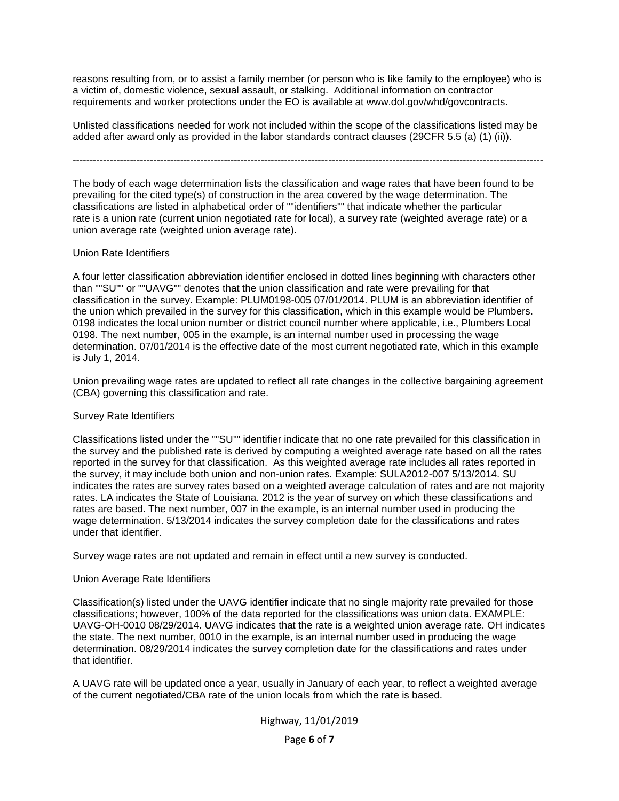reasons resulting from, or to assist a family member (or person who is like family to the employee) who is a victim of, domestic violence, sexual assault, or stalking. Additional information on contractor requirements and worker protections under the EO is available at www.dol.gov/whd/govcontracts.

Unlisted classifications needed for work not included within the scope of the classifications listed may be added after award only as provided in the labor standards contract clauses (29CFR 5.5 (a) (1) (ii)).

--------------------------------------------------------------------------------------------------------------------------------------------

The body of each wage determination lists the classification and wage rates that have been found to be prevailing for the cited type(s) of construction in the area covered by the wage determination. The classifications are listed in alphabetical order of ""identifiers"" that indicate whether the particular rate is a union rate (current union negotiated rate for local), a survey rate (weighted average rate) or a union average rate (weighted union average rate).

### Union Rate Identifiers

A four letter classification abbreviation identifier enclosed in dotted lines beginning with characters other than ""SU"" or ""UAVG"" denotes that the union classification and rate were prevailing for that classification in the survey. Example: PLUM0198-005 07/01/2014. PLUM is an abbreviation identifier of the union which prevailed in the survey for this classification, which in this example would be Plumbers. 0198 indicates the local union number or district council number where applicable, i.e., Plumbers Local 0198. The next number, 005 in the example, is an internal number used in processing the wage determination. 07/01/2014 is the effective date of the most current negotiated rate, which in this example is July 1, 2014.

Union prevailing wage rates are updated to reflect all rate changes in the collective bargaining agreement (CBA) governing this classification and rate.

### Survey Rate Identifiers

Classifications listed under the ""SU"" identifier indicate that no one rate prevailed for this classification in the survey and the published rate is derived by computing a weighted average rate based on all the rates reported in the survey for that classification. As this weighted average rate includes all rates reported in the survey, it may include both union and non-union rates. Example: SULA2012-007 5/13/2014. SU indicates the rates are survey rates based on a weighted average calculation of rates and are not majority rates. LA indicates the State of Louisiana. 2012 is the year of survey on which these classifications and rates are based. The next number, 007 in the example, is an internal number used in producing the wage determination. 5/13/2014 indicates the survey completion date for the classifications and rates under that identifier.

Survey wage rates are not updated and remain in effect until a new survey is conducted.

### Union Average Rate Identifiers

Classification(s) listed under the UAVG identifier indicate that no single majority rate prevailed for those classifications; however, 100% of the data reported for the classifications was union data. EXAMPLE: UAVG-OH-0010 08/29/2014. UAVG indicates that the rate is a weighted union average rate. OH indicates the state. The next number, 0010 in the example, is an internal number used in producing the wage determination. 08/29/2014 indicates the survey completion date for the classifications and rates under that identifier.

A UAVG rate will be updated once a year, usually in January of each year, to reflect a weighted average of the current negotiated/CBA rate of the union locals from which the rate is based.

# Highway, 11/01/2019

Page **6** of **7**